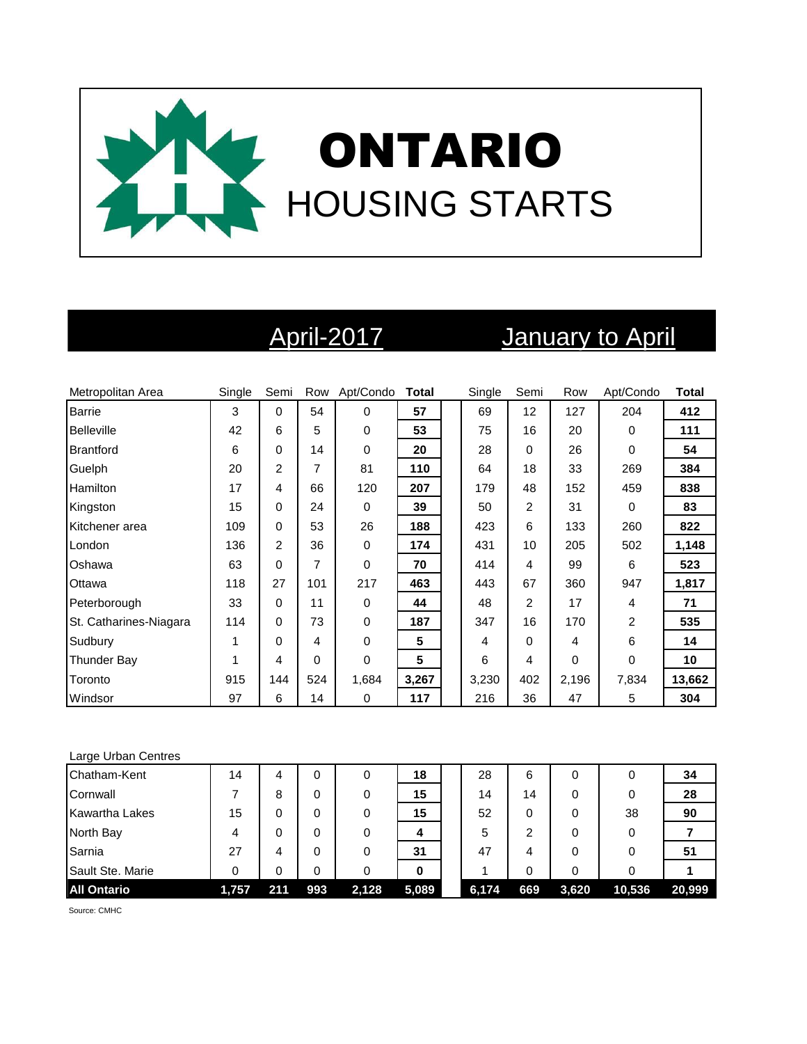

# April-2017 January to April

| Metropolitan Area      | Single | Semi           |          | Row Apt/Condo | <b>Total</b>   | Single | Semi | Row   | Apt/Condo      | <b>Total</b> |
|------------------------|--------|----------------|----------|---------------|----------------|--------|------|-------|----------------|--------------|
| Barrie                 | 3      | 0              | 54       | 0             | 57             | 69     | 12   | 127   | 204            | 412          |
| <b>Belleville</b>      | 42     | 6              | 5        | 0             | 53             | 75     | 16   | 20    | 0              | 111          |
| Brantford              | 6      | 0              | 14       | 0             | 20             | 28     | 0    | 26    | $\Omega$       | 54           |
| Guelph                 | 20     | 2              | 7        | 81            | 110            | 64     | 18   | 33    | 269            | 384          |
| Hamilton               | 17     | 4              | 66       | 120           | 207            | 179    | 48   | 152   | 459            | 838          |
| Kingston               | 15     | 0              | 24       | 0             | 39             | 50     | 2    | 31    | $\Omega$       | 83           |
| Kitchener area         | 109    | 0              | 53       | 26            | 188            | 423    | 6    | 133   | 260            | 822          |
| London                 | 136    | $\overline{2}$ | 36       | 0             | 174            | 431    | 10   | 205   | 502            | 1,148        |
| Oshawa                 | 63     | 0              | 7        | 0             | 70             | 414    | 4    | 99    | 6              | 523          |
| Ottawa                 | 118    | 27             | 101      | 217           | 463            | 443    | 67   | 360   | 947            | 1,817        |
| Peterborough           | 33     | 0              | 11       | 0             | 44             | 48     | 2    | 17    | 4              | 71           |
| St. Catharines-Niagara | 114    | 0              | 73       | 0             | 187            | 347    | 16   | 170   | $\overline{2}$ | 535          |
| Sudbury                |        | 0              | 4        | 0             | 5              | 4      | 0    | 4     | 6              | 14           |
| Thunder Bay            |        | 4              | $\Omega$ | 0             | $5\phantom{1}$ | 6      | 4    | 0     | $\Omega$       | 10           |
| Toronto                | 915    | 144            | 524      | 1,684         | 3,267          | 3,230  | 402  | 2,196 | 7,834          | 13,662       |
| Windsor                | 97     | 6              | 14       | 0             | 117            | 216    | 36   | 47    | 5              | 304          |

### Large Urban Centres

| Chatham-Kent          | 14    | 4   | 0   | 0     | 18    | 28    | 6   | 0     |        | 34     |
|-----------------------|-------|-----|-----|-------|-------|-------|-----|-------|--------|--------|
| Cornwall              |       | 8   | 0   | 0     | 15    | 14    | 14  | 0     |        | 28     |
| <b>Kawartha Lakes</b> | 15    | 0   | 0   | 0     | 15    | 52    | 0   | 0     | 38     | 90     |
| North Bay             | 4     | 0   | 0   | 0     | 4     | 5     | っ   | 0     |        |        |
| Sarnia                | 27    | 4   | 0   | 0     | 31    | 47    | 4   | 0     |        | 51     |
| Sault Ste. Marie      | 0     | 0   | 0   |       | 0     |       | 0   | 0     |        |        |
| <b>All Ontario</b>    | 1,757 | 211 | 993 | 2,128 | 5,089 | 6,174 | 669 | 3,620 | 10,536 | 20,999 |

Source: CMHC